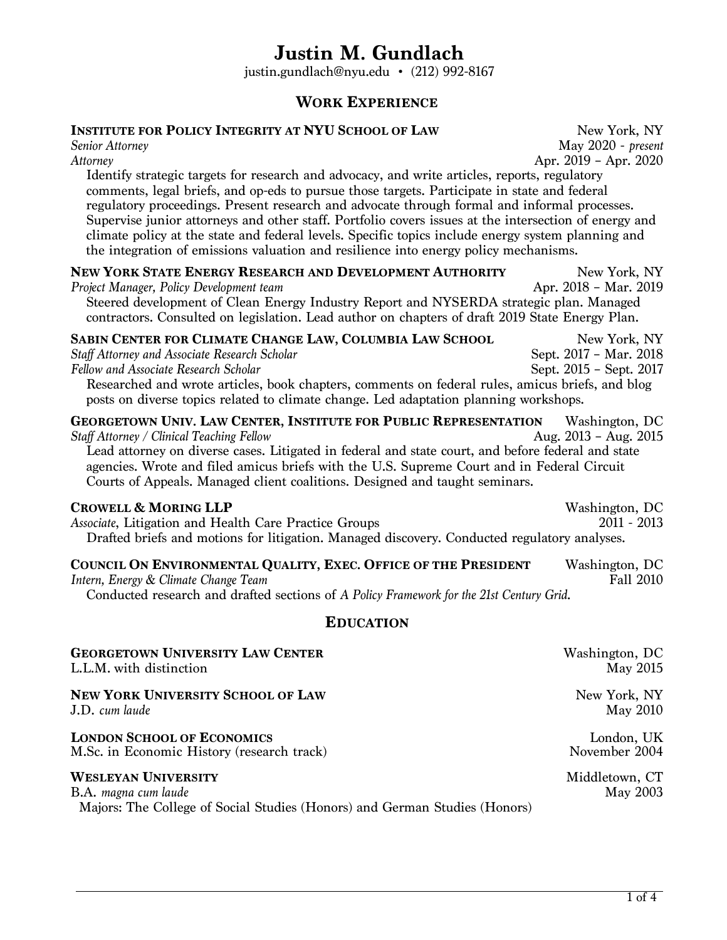## **Justin M. Gundlach**

justin.gundlach@nyu.edu • (212) 992-8167

### **WORK EXPERIENCE**

# **INSTITUTE FOR POLICY INTEGRITY AT NYU SCHOOL OF LAW** New York, NY<br>Senior Attorney May 2020 - present

*Senior Attorney* May 2020 - *present Attorney* Apr. 2019 – Apr. 2020

Identify strategic targets for research and advocacy, and write articles, reports, regulatory comments, legal briefs, and op-eds to pursue those targets. Participate in state and federal regulatory proceedings. Present research and advocate through formal and informal processes. Supervise junior attorneys and other staff. Portfolio covers issues at the intersection of energy and climate policy at the state and federal levels. Specific topics include energy system planning and the integration of emissions valuation and resilience into energy policy mechanisms.

| NEW YORK STATE ENERGY RESEARCH AND DEVELOPMENT AUTHORITY                                        | New York, NY          |
|-------------------------------------------------------------------------------------------------|-----------------------|
| Project Manager, Policy Development team                                                        | Apr. 2018 - Mar. 2019 |
| Steered development of Clean Energy Industry Report and NYSERDA strategic plan. Managed         |                       |
| contractors. Consulted on legislation. Lead author on chapters of draft 2019 State Energy Plan. |                       |

**SABIN CENTER FOR CLIMATE CHANGE LAW, COLUMBIA LAW SCHOOL** New York, NY<br>Staff Attorney and Associate Research Scholar Sept. 2017 - Mar. 2018 *Staff Attorney and Associate Research Scholar* Sept. 2017 – Mar. 2018<br>Fellow and Associate Research Scholar Sept. 2017 – Sept. 2017 – Sept. 2017 *Fellow and Associate Research Scholar* Researched and wrote articles, book chapters, comments on federal rules, amicus briefs, and blog posts on diverse topics related to climate change. Led adaptation planning workshops.

| <b>GEORGETOWN UNIV. LAW CENTER, INSTITUTE FOR PUBLIC REPRESENTATION</b>                            | Washington, DC          |
|----------------------------------------------------------------------------------------------------|-------------------------|
| <b>Staff Attorney / Clinical Teaching Fellow</b>                                                   | Aug. $2013 - Aug. 2015$ |
| Lead attorney on diverse cases. Litigated in federal and state court, and before federal and state |                         |

agencies. Wrote and filed amicus briefs with the U.S. Supreme Court and in Federal Circuit Courts of Appeals. Managed client coalitions. Designed and taught seminars.

**CROWELL & MORING LLP**<br>Associate, Litigation and Health Care Practice Groups **Example 2011** - 2013 *Associate*, Litigation and Health Care Practice Groups Drafted briefs and motions for litigation. Managed discovery. Conducted regulatory analyses.

#### **COUNCIL ON ENVIRONMENTAL QUALITY, EXEC. OFFICE OF THE PRESIDENT** Washington, DC Intern. Energy & Climate Change Team *Intern, Energy & Climate Change Team*

Conducted research and drafted sections of *A Policy Framework for the 21st Century Grid*.

#### **EDUCATION**

| <b>GEORGETOWN UNIVERSITY LAW CENTER</b>                                                                                          | Washington, DC             |
|----------------------------------------------------------------------------------------------------------------------------------|----------------------------|
| L.L.M. with distinction                                                                                                          | May 2015                   |
| <b>NEW YORK UNIVERSITY SCHOOL OF LAW</b>                                                                                         | New York, NY               |
| J.D. cum laude                                                                                                                   | May 2010                   |
| <b>LONDON SCHOOL OF ECONOMICS</b>                                                                                                | London, UK                 |
| M.Sc. in Economic History (research track)                                                                                       | November 2004              |
| <b>WESLEYAN UNIVERSITY</b><br>B.A. magna cum laude<br>Majors: The College of Social Studies (Honors) and German Studies (Honors) | Middletown, CT<br>May 2003 |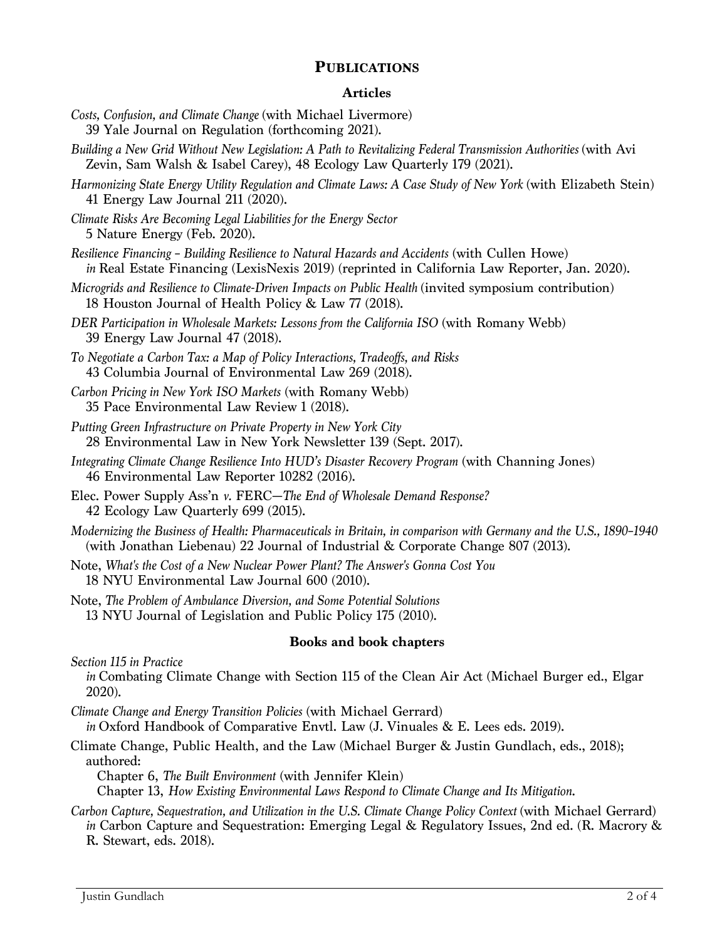#### **PUBLICATIONS**

#### **Articles**

- *Costs, Confusion, and Climate Change* (with Michael Livermore) 39 Yale Journal on Regulation (forthcoming 2021).
- *Building a New Grid Without New Legislation: A Path to Revitalizing Federal Transmission Authorities* (with Avi Zevin, Sam Walsh & Isabel Carey), 48 Ecology Law Quarterly 179 (2021).
- *Harmonizing State Energy Utility Regulation and Climate Laws: A Case Study of New York* (with Elizabeth Stein) 41 Energy Law Journal 211 (2020).
- *Climate Risks Are Becoming Legal Liabilities for the Energy Sector* 5 Nature Energy (Feb. 2020).
- *Resilience Financing – Building Resilience to Natural Hazards and Accidents* (with Cullen Howe) *in* Real Estate Financing (LexisNexis 2019) (reprinted in California Law Reporter, Jan. 2020).
- *Microgrids and Resilience to Climate-Driven Impacts on Public Health (invited symposium contribution)* 18 Houston Journal of Health Policy & Law 77 (2018).
- *DER Participation in Wholesale Markets: Lessons from the California ISO* (with Romany Webb) 39 Energy Law Journal 47 (2018).
- *To Negotiate a Carbon Tax: a Map of Policy Interactions, Tradeoffs, and Risks* 43 Columbia Journal of Environmental Law 269 (2018).
- *Carbon Pricing in New York ISO Markets* (with Romany Webb) 35 Pace Environmental Law Review 1 (2018).
- *Putting Green Infrastructure on Private Property in New York City* 28 Environmental Law in New York Newsletter 139 (Sept. 2017).
- *Integrating Climate Change Resilience Into HUD's Disaster Recovery Program* (with Channing Jones) 46 Environmental Law Reporter 10282 (2016).
- Elec. Power Supply Ass'n *v.* FERC—*The End of Wholesale Demand Response?* 42 Ecology Law Quarterly 699 (2015).
- *Modernizing the Business of Health: Pharmaceuticals in Britain, in comparison with Germany and the U.S., 1890–1940* (with Jonathan Liebenau) 22 Journal of Industrial & Corporate Change 807 (2013).
- Note, *What's the Cost of a New Nuclear Power Plant? The Answer's Gonna Cost You* 18 NYU Environmental Law Journal 600 (2010).
- Note, *The Problem of Ambulance Diversion, and Some Potential Solutions* 13 NYU Journal of Legislation and Public Policy 175 (2010).

#### **Books and book chapters**

*Section 115 in Practice*

*in* Combating Climate Change with Section 115 of the Clean Air Act (Michael Burger ed., Elgar 2020).

*Climate Change and Energy Transition Policies* (with Michael Gerrard)

*in* Oxford Handbook of Comparative Envtl. Law (J. Vinuales & E. Lees eds. 2019).

Climate Change, Public Health, and the Law (Michael Burger & Justin Gundlach, eds., 2018); authored:

Chapter 6, *The Built Environment* (with Jennifer Klein)

Chapter 13, *How Existing Environmental Laws Respond to Climate Change and Its Mitigation*.

*Carbon Capture, Sequestration, and Utilization in the U.S. Climate Change Policy Context* (with Michael Gerrard) *in* Carbon Capture and Sequestration: Emerging Legal & Regulatory Issues, 2nd ed. (R. Macrory & R. Stewart, eds. 2018).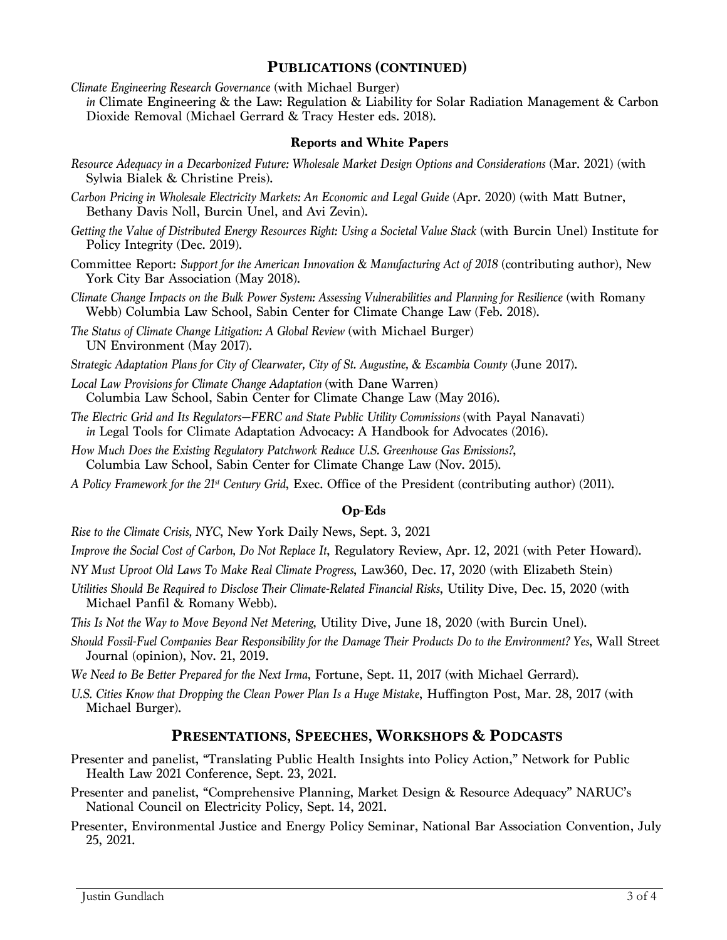#### **PUBLICATIONS (CONTINUED)**

*Climate Engineering Research Governance* (with Michael Burger)

*in* Climate Engineering & the Law: Regulation & Liability for Solar Radiation Management & Carbon Dioxide Removal (Michael Gerrard & Tracy Hester eds. 2018).

#### **Reports and White Papers**

- *Resource Adequacy in a Decarbonized Future: Wholesale Market Design Options and Considerations* (Mar. 2021) (with Sylwia Bialek & Christine Preis).
- *Carbon Pricing in Wholesale Electricity Markets: An Economic and Legal Guide* (Apr. 2020) (with Matt Butner, Bethany Davis Noll, Burcin Unel, and Avi Zevin).
- *Getting the Value of Distributed Energy Resources Right: Using a Societal Value Stack* (with Burcin Unel) Institute for Policy Integrity (Dec. 2019).
- Committee Report: *Support for the American Innovation & Manufacturing Act of 2018* (contributing author), New York City Bar Association (May 2018).
- *Climate Change Impacts on the Bulk Power System: Assessing Vulnerabilities and Planning for Resilience* (with Romany Webb) Columbia Law School, Sabin Center for Climate Change Law (Feb. 2018).
- *The Status of Climate Change Litigation: A Global Review* (with Michael Burger) UN Environment (May 2017).
- *Strategic Adaptation Plans for City of Clearwater, City of St. Augustine, & Escambia County* (June 2017).
- *Local Law Provisions for Climate Change Adaptation* (with Dane Warren) Columbia Law School, Sabin Center for Climate Change Law (May 2016).
- *The Electric Grid and Its Regulators—FERC and State Public Utility Commissions* (with Payal Nanavati) *in* Legal Tools for Climate Adaptation Advocacy: A Handbook for Advocates (2016).
- *How Much Does the Existing Regulatory Patchwork Reduce U.S. Greenhouse Gas Emissions?*, Columbia Law School, Sabin Center for Climate Change Law (Nov. 2015).
- *A Policy Framework for the 21st Century Grid*, Exec. Office of the President (contributing author) (2011).

#### **Op-Eds**

*Rise to the Climate Crisis, NYC*, New York Daily News, Sept. 3, 2021

*Improve the Social Cost of Carbon, Do Not Replace It*, Regulatory Review, Apr. 12, 2021 (with Peter Howard).

- *NY Must Uproot Old Laws To Make Real Climate Progress*, Law360, Dec. 17, 2020 (with Elizabeth Stein)
- *Utilities Should Be Required to Disclose Their Climate-Related Financial Risks*, Utility Dive, Dec. 15, 2020 (with Michael Panfil & Romany Webb).
- *This Is Not the Way to Move Beyond Net Metering*, Utility Dive, June 18, 2020 (with Burcin Unel).
- *Should Fossil-Fuel Companies Bear Responsibility for the Damage Their Products Do to the Environment? Yes*, Wall Street Journal (opinion), Nov. 21, 2019.
- *We Need to Be Better Prepared for the Next Irma*, Fortune, Sept. 11, 2017 (with Michael Gerrard).
- *U.S. Cities Know that Dropping the Clean Power Plan Is a Huge Mistake*, Huffington Post, Mar. 28, 2017 (with Michael Burger).

#### **PRESENTATIONS, SPEECHES, WORKSHOPS & PODCASTS**

- Presenter and panelist, "Translating Public Health Insights into Policy Action," Network for Public Health Law 2021 Conference, Sept. 23, 2021.
- Presenter and panelist, "Comprehensive Planning, Market Design & Resource Adequacy" NARUC's National Council on Electricity Policy, Sept. 14, 2021.
- Presenter, Environmental Justice and Energy Policy Seminar, National Bar Association Convention, July 25, 2021.